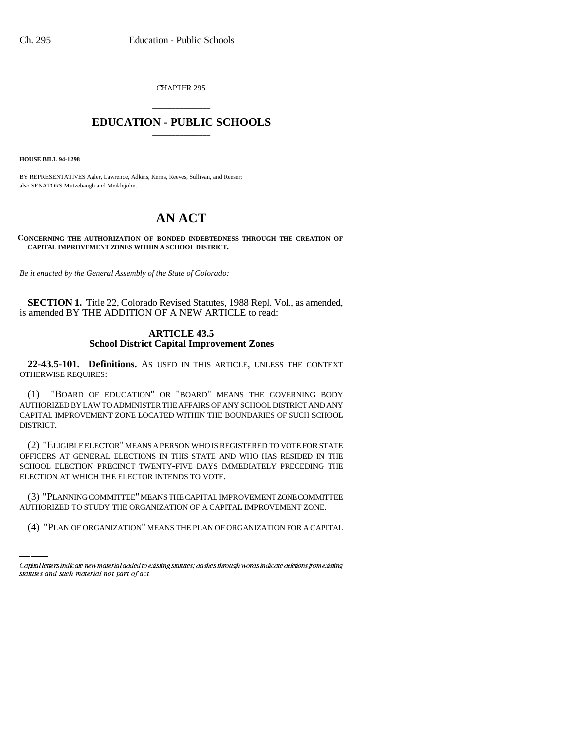CHAPTER 295

# \_\_\_\_\_\_\_\_\_\_\_\_\_\_\_ **EDUCATION - PUBLIC SCHOOLS** \_\_\_\_\_\_\_\_\_\_\_\_\_\_\_

**HOUSE BILL 94-1298**

BY REPRESENTATIVES Agler, Lawrence, Adkins, Kerns, Reeves, Sullivan, and Reeser; also SENATORS Mutzebaugh and Meiklejohn.

# **AN ACT**

**CONCERNING THE AUTHORIZATION OF BONDED INDEBTEDNESS THROUGH THE CREATION OF CAPITAL IMPROVEMENT ZONES WITHIN A SCHOOL DISTRICT.**

*Be it enacted by the General Assembly of the State of Colorado:*

**SECTION 1.** Title 22, Colorado Revised Statutes, 1988 Repl. Vol., as amended, is amended BY THE ADDITION OF A NEW ARTICLE to read:

## **ARTICLE 43.5 School District Capital Improvement Zones**

**22-43.5-101. Definitions.** AS USED IN THIS ARTICLE, UNLESS THE CONTEXT OTHERWISE REQUIRES:

(1) "BOARD OF EDUCATION" OR "BOARD" MEANS THE GOVERNING BODY AUTHORIZED BY LAW TO ADMINISTER THE AFFAIRS OF ANY SCHOOL DISTRICT AND ANY CAPITAL IMPROVEMENT ZONE LOCATED WITHIN THE BOUNDARIES OF SUCH SCHOOL DISTRICT.

(2) "ELIGIBLE ELECTOR" MEANS A PERSON WHO IS REGISTERED TO VOTE FOR STATE OFFICERS AT GENERAL ELECTIONS IN THIS STATE AND WHO HAS RESIDED IN THE SCHOOL ELECTION PRECINCT TWENTY-FIVE DAYS IMMEDIATELY PRECEDING THE ELECTION AT WHICH THE ELECTOR INTENDS TO VOTE.

(3) "PLANNING COMMITTEE" MEANS THE CAPITAL IMPROVEMENT ZONE COMMITTEE AUTHORIZED TO STUDY THE ORGANIZATION OF A CAPITAL IMPROVEMENT ZONE.

(4) "PLAN OF ORGANIZATION" MEANS THE PLAN OF ORGANIZATION FOR A CAPITAL

Capital letters indicate new material added to existing statutes; dashes through words indicate deletions from existing statutes and such material not part of act.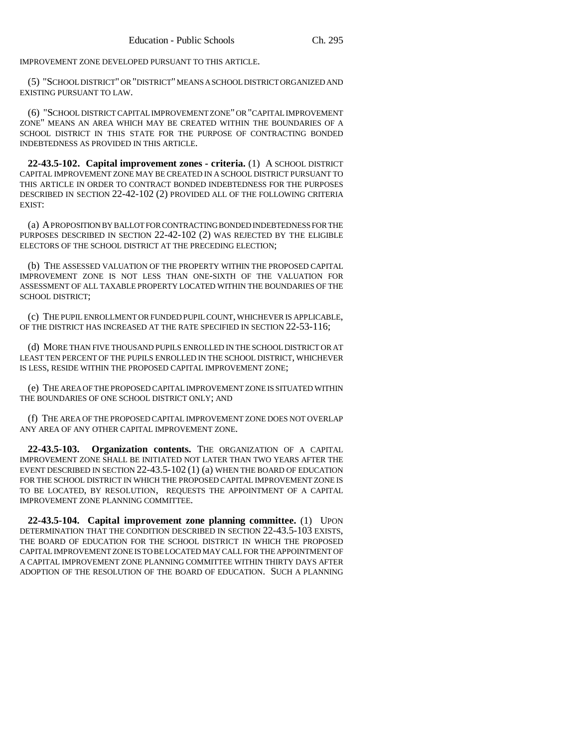IMPROVEMENT ZONE DEVELOPED PURSUANT TO THIS ARTICLE.

(5) "SCHOOL DISTRICT" OR "DISTRICT" MEANS A SCHOOL DISTRICT ORGANIZED AND EXISTING PURSUANT TO LAW.

(6) "SCHOOL DISTRICT CAPITAL IMPROVEMENT ZONE" OR "CAPITAL IMPROVEMENT ZONE" MEANS AN AREA WHICH MAY BE CREATED WITHIN THE BOUNDARIES OF A SCHOOL DISTRICT IN THIS STATE FOR THE PURPOSE OF CONTRACTING BONDED INDEBTEDNESS AS PROVIDED IN THIS ARTICLE.

**22-43.5-102. Capital improvement zones - criteria.** (1) A SCHOOL DISTRICT CAPITAL IMPROVEMENT ZONE MAY BE CREATED IN A SCHOOL DISTRICT PURSUANT TO THIS ARTICLE IN ORDER TO CONTRACT BONDED INDEBTEDNESS FOR THE PURPOSES DESCRIBED IN SECTION 22-42-102 (2) PROVIDED ALL OF THE FOLLOWING CRITERIA EXIST:

(a) A PROPOSITION BY BALLOT FOR CONTRACTING BONDED INDEBTEDNESS FOR THE PURPOSES DESCRIBED IN SECTION 22-42-102 (2) WAS REJECTED BY THE ELIGIBLE ELECTORS OF THE SCHOOL DISTRICT AT THE PRECEDING ELECTION;

(b) THE ASSESSED VALUATION OF THE PROPERTY WITHIN THE PROPOSED CAPITAL IMPROVEMENT ZONE IS NOT LESS THAN ONE-SIXTH OF THE VALUATION FOR ASSESSMENT OF ALL TAXABLE PROPERTY LOCATED WITHIN THE BOUNDARIES OF THE SCHOOL DISTRICT;

(c) THE PUPIL ENROLLMENT OR FUNDED PUPIL COUNT, WHICHEVER IS APPLICABLE, OF THE DISTRICT HAS INCREASED AT THE RATE SPECIFIED IN SECTION 22-53-116;

(d) MORE THAN FIVE THOUSAND PUPILS ENROLLED IN THE SCHOOL DISTRICT OR AT LEAST TEN PERCENT OF THE PUPILS ENROLLED IN THE SCHOOL DISTRICT, WHICHEVER IS LESS, RESIDE WITHIN THE PROPOSED CAPITAL IMPROVEMENT ZONE;

(e) THE AREA OF THE PROPOSED CAPITAL IMPROVEMENT ZONE IS SITUATED WITHIN THE BOUNDARIES OF ONE SCHOOL DISTRICT ONLY; AND

(f) THE AREA OF THE PROPOSED CAPITAL IMPROVEMENT ZONE DOES NOT OVERLAP ANY AREA OF ANY OTHER CAPITAL IMPROVEMENT ZONE.

**22-43.5-103. Organization contents.** THE ORGANIZATION OF A CAPITAL IMPROVEMENT ZONE SHALL BE INITIATED NOT LATER THAN TWO YEARS AFTER THE EVENT DESCRIBED IN SECTION 22-43.5-102 (1) (a) WHEN THE BOARD OF EDUCATION FOR THE SCHOOL DISTRICT IN WHICH THE PROPOSED CAPITAL IMPROVEMENT ZONE IS TO BE LOCATED, BY RESOLUTION, REQUESTS THE APPOINTMENT OF A CAPITAL IMPROVEMENT ZONE PLANNING COMMITTEE.

**22-43.5-104. Capital improvement zone planning committee.** (1) UPON DETERMINATION THAT THE CONDITION DESCRIBED IN SECTION 22-43.5-103 EXISTS, THE BOARD OF EDUCATION FOR THE SCHOOL DISTRICT IN WHICH THE PROPOSED CAPITAL IMPROVEMENT ZONE IS TO BE LOCATED MAY CALL FOR THE APPOINTMENT OF A CAPITAL IMPROVEMENT ZONE PLANNING COMMITTEE WITHIN THIRTY DAYS AFTER ADOPTION OF THE RESOLUTION OF THE BOARD OF EDUCATION. SUCH A PLANNING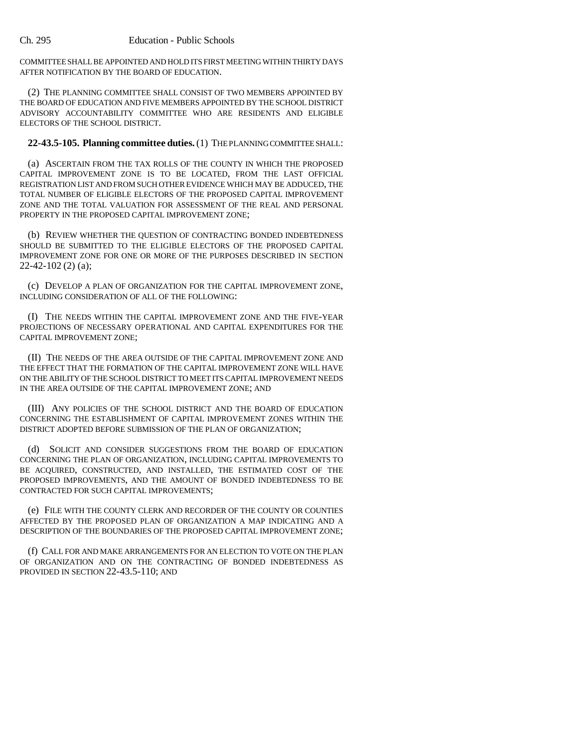COMMITTEE SHALL BE APPOINTED AND HOLD ITS FIRST MEETING WITHIN THIRTY DAYS AFTER NOTIFICATION BY THE BOARD OF EDUCATION.

(2) THE PLANNING COMMITTEE SHALL CONSIST OF TWO MEMBERS APPOINTED BY THE BOARD OF EDUCATION AND FIVE MEMBERS APPOINTED BY THE SCHOOL DISTRICT ADVISORY ACCOUNTABILITY COMMITTEE WHO ARE RESIDENTS AND ELIGIBLE ELECTORS OF THE SCHOOL DISTRICT.

**22-43.5-105. Planning committee duties.** (1) THE PLANNING COMMITTEE SHALL:

(a) ASCERTAIN FROM THE TAX ROLLS OF THE COUNTY IN WHICH THE PROPOSED CAPITAL IMPROVEMENT ZONE IS TO BE LOCATED, FROM THE LAST OFFICIAL REGISTRATION LIST AND FROM SUCH OTHER EVIDENCE WHICH MAY BE ADDUCED, THE TOTAL NUMBER OF ELIGIBLE ELECTORS OF THE PROPOSED CAPITAL IMPROVEMENT ZONE AND THE TOTAL VALUATION FOR ASSESSMENT OF THE REAL AND PERSONAL PROPERTY IN THE PROPOSED CAPITAL IMPROVEMENT ZONE;

(b) REVIEW WHETHER THE QUESTION OF CONTRACTING BONDED INDEBTEDNESS SHOULD BE SUBMITTED TO THE ELIGIBLE ELECTORS OF THE PROPOSED CAPITAL IMPROVEMENT ZONE FOR ONE OR MORE OF THE PURPOSES DESCRIBED IN SECTION 22-42-102 (2) (a);

(c) DEVELOP A PLAN OF ORGANIZATION FOR THE CAPITAL IMPROVEMENT ZONE, INCLUDING CONSIDERATION OF ALL OF THE FOLLOWING:

(I) THE NEEDS WITHIN THE CAPITAL IMPROVEMENT ZONE AND THE FIVE-YEAR PROJECTIONS OF NECESSARY OPERATIONAL AND CAPITAL EXPENDITURES FOR THE CAPITAL IMPROVEMENT ZONE;

(II) THE NEEDS OF THE AREA OUTSIDE OF THE CAPITAL IMPROVEMENT ZONE AND THE EFFECT THAT THE FORMATION OF THE CAPITAL IMPROVEMENT ZONE WILL HAVE ON THE ABILITY OF THE SCHOOL DISTRICT TO MEET ITS CAPITAL IMPROVEMENT NEEDS IN THE AREA OUTSIDE OF THE CAPITAL IMPROVEMENT ZONE; AND

(III) ANY POLICIES OF THE SCHOOL DISTRICT AND THE BOARD OF EDUCATION CONCERNING THE ESTABLISHMENT OF CAPITAL IMPROVEMENT ZONES WITHIN THE DISTRICT ADOPTED BEFORE SUBMISSION OF THE PLAN OF ORGANIZATION;

(d) SOLICIT AND CONSIDER SUGGESTIONS FROM THE BOARD OF EDUCATION CONCERNING THE PLAN OF ORGANIZATION, INCLUDING CAPITAL IMPROVEMENTS TO BE ACQUIRED, CONSTRUCTED, AND INSTALLED, THE ESTIMATED COST OF THE PROPOSED IMPROVEMENTS, AND THE AMOUNT OF BONDED INDEBTEDNESS TO BE CONTRACTED FOR SUCH CAPITAL IMPROVEMENTS;

(e) FILE WITH THE COUNTY CLERK AND RECORDER OF THE COUNTY OR COUNTIES AFFECTED BY THE PROPOSED PLAN OF ORGANIZATION A MAP INDICATING AND A DESCRIPTION OF THE BOUNDARIES OF THE PROPOSED CAPITAL IMPROVEMENT ZONE;

(f) CALL FOR AND MAKE ARRANGEMENTS FOR AN ELECTION TO VOTE ON THE PLAN OF ORGANIZATION AND ON THE CONTRACTING OF BONDED INDEBTEDNESS AS PROVIDED IN SECTION 22-43.5-110; AND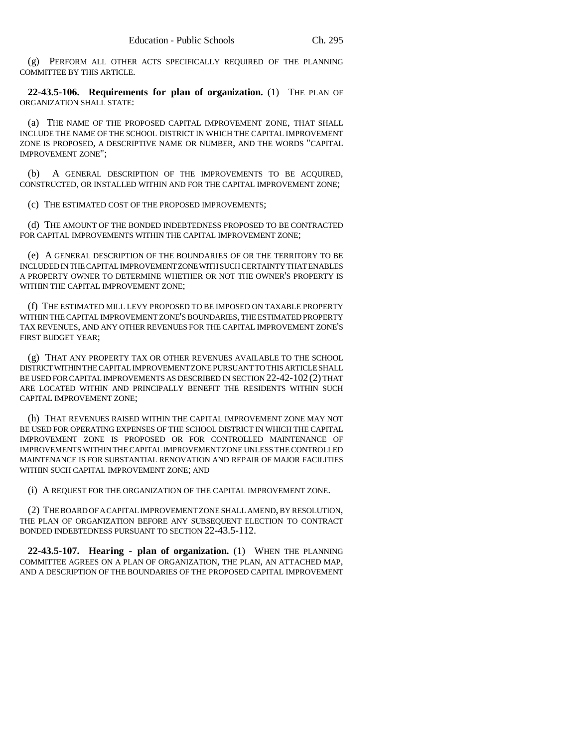(g) PERFORM ALL OTHER ACTS SPECIFICALLY REQUIRED OF THE PLANNING COMMITTEE BY THIS ARTICLE.

**22-43.5-106. Requirements for plan of organization.** (1) THE PLAN OF ORGANIZATION SHALL STATE:

(a) THE NAME OF THE PROPOSED CAPITAL IMPROVEMENT ZONE, THAT SHALL INCLUDE THE NAME OF THE SCHOOL DISTRICT IN WHICH THE CAPITAL IMPROVEMENT ZONE IS PROPOSED, A DESCRIPTIVE NAME OR NUMBER, AND THE WORDS "CAPITAL IMPROVEMENT ZONE";

(b) A GENERAL DESCRIPTION OF THE IMPROVEMENTS TO BE ACQUIRED, CONSTRUCTED, OR INSTALLED WITHIN AND FOR THE CAPITAL IMPROVEMENT ZONE;

(c) THE ESTIMATED COST OF THE PROPOSED IMPROVEMENTS;

(d) THE AMOUNT OF THE BONDED INDEBTEDNESS PROPOSED TO BE CONTRACTED FOR CAPITAL IMPROVEMENTS WITHIN THE CAPITAL IMPROVEMENT ZONE;

(e) A GENERAL DESCRIPTION OF THE BOUNDARIES OF OR THE TERRITORY TO BE INCLUDED IN THE CAPITAL IMPROVEMENT ZONE WITH SUCH CERTAINTY THAT ENABLES A PROPERTY OWNER TO DETERMINE WHETHER OR NOT THE OWNER'S PROPERTY IS WITHIN THE CAPITAL IMPROVEMENT ZONE;

(f) THE ESTIMATED MILL LEVY PROPOSED TO BE IMPOSED ON TAXABLE PROPERTY WITHIN THE CAPITAL IMPROVEMENT ZONE'S BOUNDARIES, THE ESTIMATED PROPERTY TAX REVENUES, AND ANY OTHER REVENUES FOR THE CAPITAL IMPROVEMENT ZONE'S FIRST BUDGET YEAR;

(g) THAT ANY PROPERTY TAX OR OTHER REVENUES AVAILABLE TO THE SCHOOL DISTRICT WITHIN THE CAPITAL IMPROVEMENT ZONE PURSUANT TO THIS ARTICLE SHALL BE USED FOR CAPITAL IMPROVEMENTS AS DESCRIBED IN SECTION 22-42-102 (2) THAT ARE LOCATED WITHIN AND PRINCIPALLY BENEFIT THE RESIDENTS WITHIN SUCH CAPITAL IMPROVEMENT ZONE;

(h) THAT REVENUES RAISED WITHIN THE CAPITAL IMPROVEMENT ZONE MAY NOT BE USED FOR OPERATING EXPENSES OF THE SCHOOL DISTRICT IN WHICH THE CAPITAL IMPROVEMENT ZONE IS PROPOSED OR FOR CONTROLLED MAINTENANCE OF IMPROVEMENTS WITHIN THE CAPITAL IMPROVEMENT ZONE UNLESS THE CONTROLLED MAINTENANCE IS FOR SUBSTANTIAL RENOVATION AND REPAIR OF MAJOR FACILITIES WITHIN SUCH CAPITAL IMPROVEMENT ZONE; AND

(i) A REQUEST FOR THE ORGANIZATION OF THE CAPITAL IMPROVEMENT ZONE.

(2) THE BOARD OF A CAPITAL IMPROVEMENT ZONE SHALL AMEND, BY RESOLUTION, THE PLAN OF ORGANIZATION BEFORE ANY SUBSEQUENT ELECTION TO CONTRACT BONDED INDEBTEDNESS PURSUANT TO SECTION 22-43.5-112.

**22-43.5-107. Hearing - plan of organization.** (1) WHEN THE PLANNING COMMITTEE AGREES ON A PLAN OF ORGANIZATION, THE PLAN, AN ATTACHED MAP, AND A DESCRIPTION OF THE BOUNDARIES OF THE PROPOSED CAPITAL IMPROVEMENT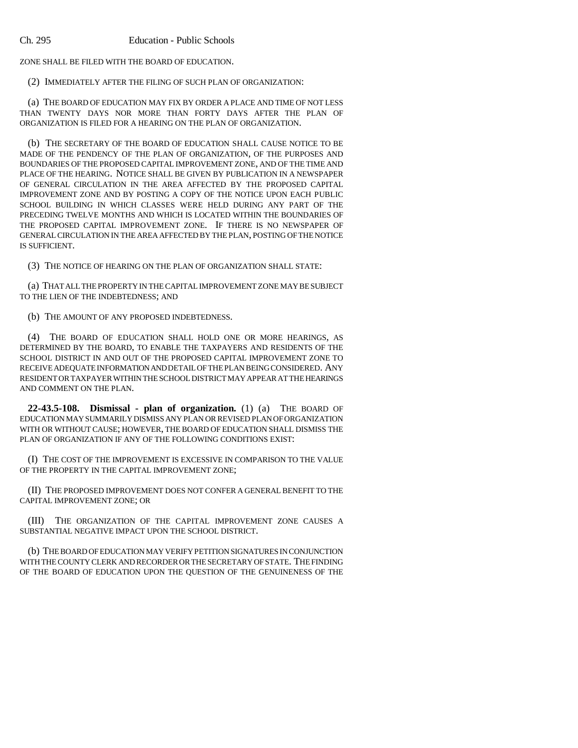ZONE SHALL BE FILED WITH THE BOARD OF EDUCATION.

(2) IMMEDIATELY AFTER THE FILING OF SUCH PLAN OF ORGANIZATION:

(a) THE BOARD OF EDUCATION MAY FIX BY ORDER A PLACE AND TIME OF NOT LESS THAN TWENTY DAYS NOR MORE THAN FORTY DAYS AFTER THE PLAN OF ORGANIZATION IS FILED FOR A HEARING ON THE PLAN OF ORGANIZATION.

(b) THE SECRETARY OF THE BOARD OF EDUCATION SHALL CAUSE NOTICE TO BE MADE OF THE PENDENCY OF THE PLAN OF ORGANIZATION, OF THE PURPOSES AND BOUNDARIES OF THE PROPOSED CAPITAL IMPROVEMENT ZONE, AND OF THE TIME AND PLACE OF THE HEARING. NOTICE SHALL BE GIVEN BY PUBLICATION IN A NEWSPAPER OF GENERAL CIRCULATION IN THE AREA AFFECTED BY THE PROPOSED CAPITAL IMPROVEMENT ZONE AND BY POSTING A COPY OF THE NOTICE UPON EACH PUBLIC SCHOOL BUILDING IN WHICH CLASSES WERE HELD DURING ANY PART OF THE PRECEDING TWELVE MONTHS AND WHICH IS LOCATED WITHIN THE BOUNDARIES OF THE PROPOSED CAPITAL IMPROVEMENT ZONE. IF THERE IS NO NEWSPAPER OF GENERAL CIRCULATION IN THE AREA AFFECTED BY THE PLAN, POSTING OF THE NOTICE IS SUFFICIENT.

(3) THE NOTICE OF HEARING ON THE PLAN OF ORGANIZATION SHALL STATE:

(a) THAT ALL THE PROPERTY IN THE CAPITAL IMPROVEMENT ZONE MAY BE SUBJECT TO THE LIEN OF THE INDEBTEDNESS; AND

(b) THE AMOUNT OF ANY PROPOSED INDEBTEDNESS.

(4) THE BOARD OF EDUCATION SHALL HOLD ONE OR MORE HEARINGS, AS DETERMINED BY THE BOARD, TO ENABLE THE TAXPAYERS AND RESIDENTS OF THE SCHOOL DISTRICT IN AND OUT OF THE PROPOSED CAPITAL IMPROVEMENT ZONE TO RECEIVE ADEQUATE INFORMATION AND DETAIL OF THE PLAN BEING CONSIDERED. ANY RESIDENT OR TAXPAYER WITHIN THE SCHOOL DISTRICT MAY APPEAR AT THE HEARINGS AND COMMENT ON THE PLAN.

**22-43.5-108. Dismissal - plan of organization.** (1) (a) THE BOARD OF EDUCATION MAY SUMMARILY DISMISS ANY PLAN OR REVISED PLAN OF ORGANIZATION WITH OR WITHOUT CAUSE; HOWEVER, THE BOARD OF EDUCATION SHALL DISMISS THE PLAN OF ORGANIZATION IF ANY OF THE FOLLOWING CONDITIONS EXIST:

(I) THE COST OF THE IMPROVEMENT IS EXCESSIVE IN COMPARISON TO THE VALUE OF THE PROPERTY IN THE CAPITAL IMPROVEMENT ZONE;

(II) THE PROPOSED IMPROVEMENT DOES NOT CONFER A GENERAL BENEFIT TO THE CAPITAL IMPROVEMENT ZONE; OR

(III) THE ORGANIZATION OF THE CAPITAL IMPROVEMENT ZONE CAUSES A SUBSTANTIAL NEGATIVE IMPACT UPON THE SCHOOL DISTRICT.

(b) THE BOARD OF EDUCATION MAY VERIFY PETITION SIGNATURES IN CONJUNCTION WITH THE COUNTY CLERK AND RECORDER OR THE SECRETARY OF STATE. THE FINDING OF THE BOARD OF EDUCATION UPON THE QUESTION OF THE GENUINENESS OF THE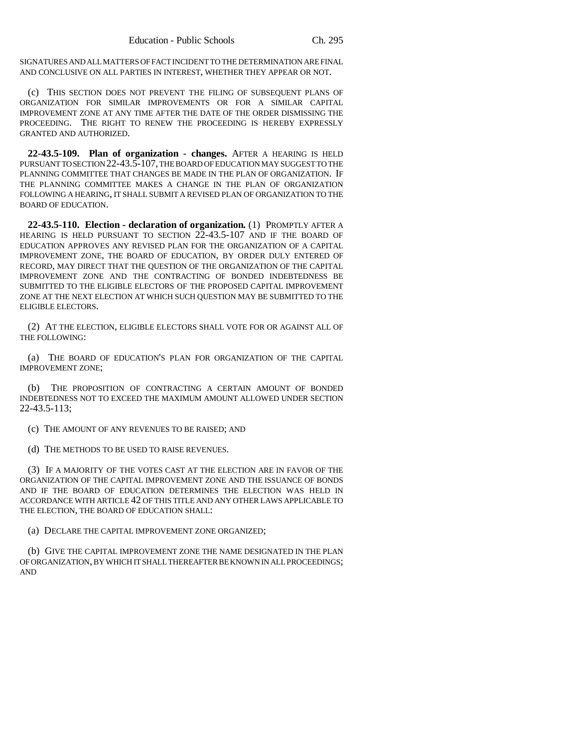SIGNATURES AND ALL MATTERS OF FACT INCIDENT TO THE DETERMINATION ARE FINAL AND CONCLUSIVE ON ALL PARTIES IN INTEREST, WHETHER THEY APPEAR OR NOT.

(c) THIS SECTION DOES NOT PREVENT THE FILING OF SUBSEQUENT PLANS OF ORGANIZATION FOR SIMILAR IMPROVEMENTS OR FOR A SIMILAR CAPITAL IMPROVEMENT ZONE AT ANY TIME AFTER THE DATE OF THE ORDER DISMISSING THE PROCEEDING. THE RIGHT TO RENEW THE PROCEEDING IS HEREBY EXPRESSLY GRANTED AND AUTHORIZED.

**22-43.5-109. Plan of organization - changes.** AFTER A HEARING IS HELD PURSUANT TO SECTION 22-43.5-107, THE BOARD OF EDUCATION MAY SUGGEST TO THE PLANNING COMMITTEE THAT CHANGES BE MADE IN THE PLAN OF ORGANIZATION. IF THE PLANNING COMMITTEE MAKES A CHANGE IN THE PLAN OF ORGANIZATION FOLLOWING A HEARING, IT SHALL SUBMIT A REVISED PLAN OF ORGANIZATION TO THE BOARD OF EDUCATION.

**22-43.5-110. Election - declaration of organization.** (1) PROMPTLY AFTER A HEARING IS HELD PURSUANT TO SECTION 22-43.5-107 AND IF THE BOARD OF EDUCATION APPROVES ANY REVISED PLAN FOR THE ORGANIZATION OF A CAPITAL IMPROVEMENT ZONE, THE BOARD OF EDUCATION, BY ORDER DULY ENTERED OF RECORD, MAY DIRECT THAT THE QUESTION OF THE ORGANIZATION OF THE CAPITAL IMPROVEMENT ZONE AND THE CONTRACTING OF BONDED INDEBTEDNESS BE SUBMITTED TO THE ELIGIBLE ELECTORS OF THE PROPOSED CAPITAL IMPROVEMENT ZONE AT THE NEXT ELECTION AT WHICH SUCH QUESTION MAY BE SUBMITTED TO THE ELIGIBLE ELECTORS.

(2) AT THE ELECTION, ELIGIBLE ELECTORS SHALL VOTE FOR OR AGAINST ALL OF THE FOLLOWING:

(a) THE BOARD OF EDUCATION'S PLAN FOR ORGANIZATION OF THE CAPITAL IMPROVEMENT ZONE;

(b) THE PROPOSITION OF CONTRACTING A CERTAIN AMOUNT OF BONDED INDEBTEDNESS NOT TO EXCEED THE MAXIMUM AMOUNT ALLOWED UNDER SECTION 22-43.5-113;

(c) THE AMOUNT OF ANY REVENUES TO BE RAISED; AND

(d) THE METHODS TO BE USED TO RAISE REVENUES.

(3) IF A MAJORITY OF THE VOTES CAST AT THE ELECTION ARE IN FAVOR OF THE ORGANIZATION OF THE CAPITAL IMPROVEMENT ZONE AND THE ISSUANCE OF BONDS AND IF THE BOARD OF EDUCATION DETERMINES THE ELECTION WAS HELD IN ACCORDANCE WITH ARTICLE 42 OF THIS TITLE AND ANY OTHER LAWS APPLICABLE TO THE ELECTION, THE BOARD OF EDUCATION SHALL:

(a) DECLARE THE CAPITAL IMPROVEMENT ZONE ORGANIZED;

(b) GIVE THE CAPITAL IMPROVEMENT ZONE THE NAME DESIGNATED IN THE PLAN OF ORGANIZATION, BY WHICH IT SHALL THEREAFTER BE KNOWN IN ALL PROCEEDINGS; AND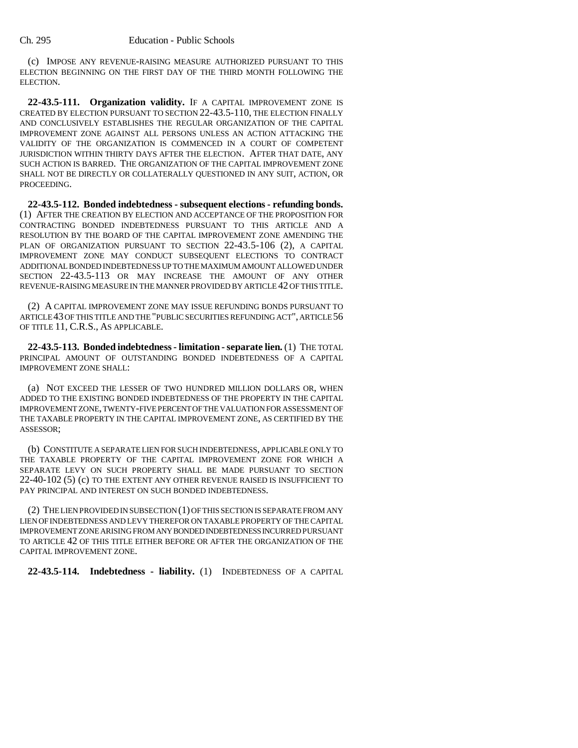(c) IMPOSE ANY REVENUE-RAISING MEASURE AUTHORIZED PURSUANT TO THIS ELECTION BEGINNING ON THE FIRST DAY OF THE THIRD MONTH FOLLOWING THE ELECTION.

**22-43.5-111. Organization validity.** IF A CAPITAL IMPROVEMENT ZONE IS CREATED BY ELECTION PURSUANT TO SECTION 22-43.5-110, THE ELECTION FINALLY AND CONCLUSIVELY ESTABLISHES THE REGULAR ORGANIZATION OF THE CAPITAL IMPROVEMENT ZONE AGAINST ALL PERSONS UNLESS AN ACTION ATTACKING THE VALIDITY OF THE ORGANIZATION IS COMMENCED IN A COURT OF COMPETENT JURISDICTION WITHIN THIRTY DAYS AFTER THE ELECTION. AFTER THAT DATE, ANY SUCH ACTION IS BARRED. THE ORGANIZATION OF THE CAPITAL IMPROVEMENT ZONE SHALL NOT BE DIRECTLY OR COLLATERALLY QUESTIONED IN ANY SUIT, ACTION, OR PROCEEDING.

**22-43.5-112. Bonded indebtedness - subsequent elections - refunding bonds.** (1) AFTER THE CREATION BY ELECTION AND ACCEPTANCE OF THE PROPOSITION FOR CONTRACTING BONDED INDEBTEDNESS PURSUANT TO THIS ARTICLE AND A RESOLUTION BY THE BOARD OF THE CAPITAL IMPROVEMENT ZONE AMENDING THE PLAN OF ORGANIZATION PURSUANT TO SECTION 22-43.5-106 (2), A CAPITAL IMPROVEMENT ZONE MAY CONDUCT SUBSEQUENT ELECTIONS TO CONTRACT ADDITIONAL BONDED INDEBTEDNESS UP TO THE MAXIMUM AMOUNT ALLOWED UNDER SECTION 22-43.5-113 OR MAY INCREASE THE AMOUNT OF ANY OTHER REVENUE-RAISING MEASURE IN THE MANNER PROVIDED BY ARTICLE 42 OF THIS TITLE.

(2) A CAPITAL IMPROVEMENT ZONE MAY ISSUE REFUNDING BONDS PURSUANT TO ARTICLE 43 OF THIS TITLE AND THE "PUBLIC SECURITIES REFUNDING ACT", ARTICLE 56 OF TITLE 11, C.R.S., AS APPLICABLE.

**22-43.5-113. Bonded indebtedness - limitation - separate lien.** (1) THE TOTAL PRINCIPAL AMOUNT OF OUTSTANDING BONDED INDEBTEDNESS OF A CAPITAL IMPROVEMENT ZONE SHALL:

(a) NOT EXCEED THE LESSER OF TWO HUNDRED MILLION DOLLARS OR, WHEN ADDED TO THE EXISTING BONDED INDEBTEDNESS OF THE PROPERTY IN THE CAPITAL IMPROVEMENT ZONE, TWENTY-FIVE PERCENT OF THE VALUATION FOR ASSESSMENT OF THE TAXABLE PROPERTY IN THE CAPITAL IMPROVEMENT ZONE, AS CERTIFIED BY THE ASSESSOR;

(b) CONSTITUTE A SEPARATE LIEN FOR SUCH INDEBTEDNESS, APPLICABLE ONLY TO THE TAXABLE PROPERTY OF THE CAPITAL IMPROVEMENT ZONE FOR WHICH A SEPARATE LEVY ON SUCH PROPERTY SHALL BE MADE PURSUANT TO SECTION 22-40-102 (5) (c) TO THE EXTENT ANY OTHER REVENUE RAISED IS INSUFFICIENT TO PAY PRINCIPAL AND INTEREST ON SUCH BONDED INDEBTEDNESS.

(2) THE LIEN PROVIDED IN SUBSECTION (1) OF THIS SECTION IS SEPARATE FROM ANY LIEN OF INDEBTEDNESS AND LEVY THEREFOR ON TAXABLE PROPERTY OF THE CAPITAL IMPROVEMENT ZONE ARISING FROM ANY BONDED INDEBTEDNESS INCURRED PURSUANT TO ARTICLE 42 OF THIS TITLE EITHER BEFORE OR AFTER THE ORGANIZATION OF THE CAPITAL IMPROVEMENT ZONE.

**22-43.5-114. Indebtedness - liability.** (1) INDEBTEDNESS OF A CAPITAL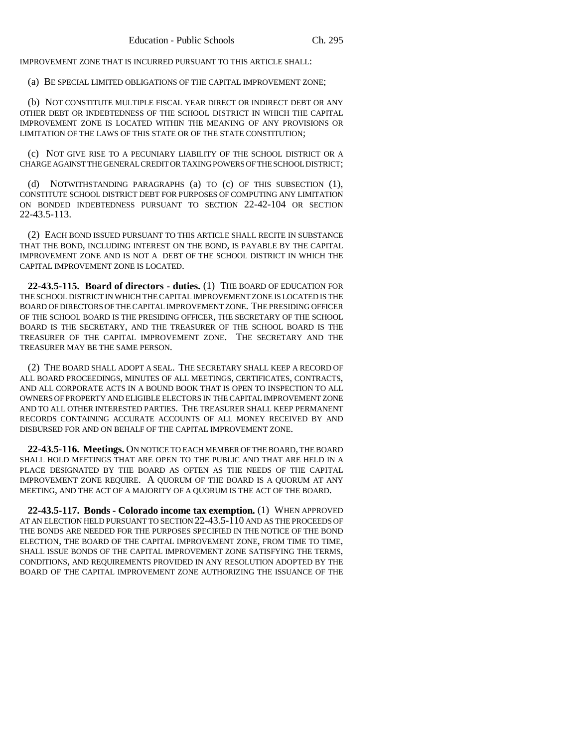IMPROVEMENT ZONE THAT IS INCURRED PURSUANT TO THIS ARTICLE SHALL:

(a) BE SPECIAL LIMITED OBLIGATIONS OF THE CAPITAL IMPROVEMENT ZONE;

(b) NOT CONSTITUTE MULTIPLE FISCAL YEAR DIRECT OR INDIRECT DEBT OR ANY OTHER DEBT OR INDEBTEDNESS OF THE SCHOOL DISTRICT IN WHICH THE CAPITAL IMPROVEMENT ZONE IS LOCATED WITHIN THE MEANING OF ANY PROVISIONS OR LIMITATION OF THE LAWS OF THIS STATE OR OF THE STATE CONSTITUTION;

(c) NOT GIVE RISE TO A PECUNIARY LIABILITY OF THE SCHOOL DISTRICT OR A CHARGE AGAINST THE GENERAL CREDIT OR TAXING POWERS OF THE SCHOOL DISTRICT;

(d) NOTWITHSTANDING PARAGRAPHS (a) TO (c) OF THIS SUBSECTION (1), CONSTITUTE SCHOOL DISTRICT DEBT FOR PURPOSES OF COMPUTING ANY LIMITATION ON BONDED INDEBTEDNESS PURSUANT TO SECTION 22-42-104 OR SECTION 22-43.5-113.

(2) EACH BOND ISSUED PURSUANT TO THIS ARTICLE SHALL RECITE IN SUBSTANCE THAT THE BOND, INCLUDING INTEREST ON THE BOND, IS PAYABLE BY THE CAPITAL IMPROVEMENT ZONE AND IS NOT A DEBT OF THE SCHOOL DISTRICT IN WHICH THE CAPITAL IMPROVEMENT ZONE IS LOCATED.

**22-43.5-115. Board of directors - duties.** (1) THE BOARD OF EDUCATION FOR THE SCHOOL DISTRICT IN WHICH THE CAPITAL IMPROVEMENT ZONE IS LOCATED IS THE BOARD OF DIRECTORS OF THE CAPITAL IMPROVEMENT ZONE. THE PRESIDING OFFICER OF THE SCHOOL BOARD IS THE PRESIDING OFFICER, THE SECRETARY OF THE SCHOOL BOARD IS THE SECRETARY, AND THE TREASURER OF THE SCHOOL BOARD IS THE TREASURER OF THE CAPITAL IMPROVEMENT ZONE. THE SECRETARY AND THE TREASURER MAY BE THE SAME PERSON.

(2) THE BOARD SHALL ADOPT A SEAL. THE SECRETARY SHALL KEEP A RECORD OF ALL BOARD PROCEEDINGS, MINUTES OF ALL MEETINGS, CERTIFICATES, CONTRACTS, AND ALL CORPORATE ACTS IN A BOUND BOOK THAT IS OPEN TO INSPECTION TO ALL OWNERS OF PROPERTY AND ELIGIBLE ELECTORS IN THE CAPITAL IMPROVEMENT ZONE AND TO ALL OTHER INTERESTED PARTIES. THE TREASURER SHALL KEEP PERMANENT RECORDS CONTAINING ACCURATE ACCOUNTS OF ALL MONEY RECEIVED BY AND DISBURSED FOR AND ON BEHALF OF THE CAPITAL IMPROVEMENT ZONE.

**22-43.5-116. Meetings.** ON NOTICE TO EACH MEMBER OF THE BOARD, THE BOARD SHALL HOLD MEETINGS THAT ARE OPEN TO THE PUBLIC AND THAT ARE HELD IN A PLACE DESIGNATED BY THE BOARD AS OFTEN AS THE NEEDS OF THE CAPITAL IMPROVEMENT ZONE REQUIRE. A QUORUM OF THE BOARD IS A QUORUM AT ANY MEETING, AND THE ACT OF A MAJORITY OF A QUORUM IS THE ACT OF THE BOARD.

**22-43.5-117. Bonds - Colorado income tax exemption.** (1) WHEN APPROVED AT AN ELECTION HELD PURSUANT TO SECTION 22-43.5-110 AND AS THE PROCEEDS OF THE BONDS ARE NEEDED FOR THE PURPOSES SPECIFIED IN THE NOTICE OF THE BOND ELECTION, THE BOARD OF THE CAPITAL IMPROVEMENT ZONE, FROM TIME TO TIME, SHALL ISSUE BONDS OF THE CAPITAL IMPROVEMENT ZONE SATISFYING THE TERMS, CONDITIONS, AND REQUIREMENTS PROVIDED IN ANY RESOLUTION ADOPTED BY THE BOARD OF THE CAPITAL IMPROVEMENT ZONE AUTHORIZING THE ISSUANCE OF THE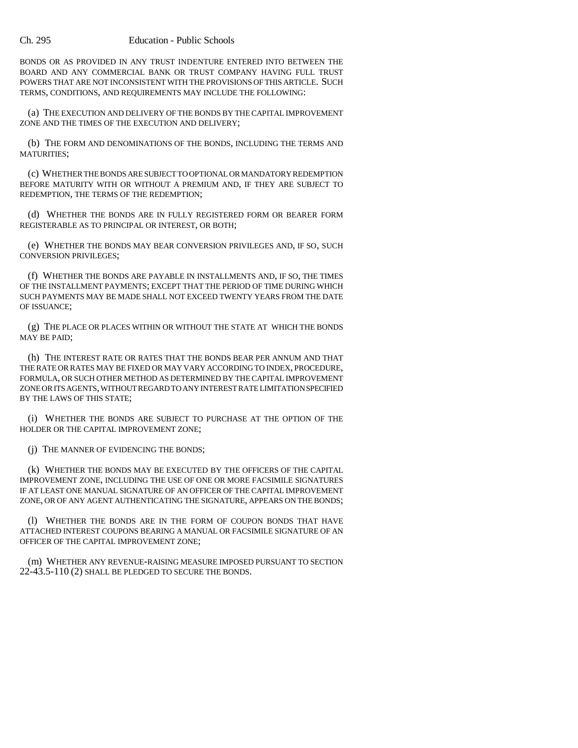#### Ch. 295 Education - Public Schools

BONDS OR AS PROVIDED IN ANY TRUST INDENTURE ENTERED INTO BETWEEN THE BOARD AND ANY COMMERCIAL BANK OR TRUST COMPANY HAVING FULL TRUST POWERS THAT ARE NOT INCONSISTENT WITH THE PROVISIONS OF THIS ARTICLE. SUCH TERMS, CONDITIONS, AND REQUIREMENTS MAY INCLUDE THE FOLLOWING:

(a) THE EXECUTION AND DELIVERY OF THE BONDS BY THE CAPITAL IMPROVEMENT ZONE AND THE TIMES OF THE EXECUTION AND DELIVERY;

(b) THE FORM AND DENOMINATIONS OF THE BONDS, INCLUDING THE TERMS AND MATURITIES;

(c) WHETHER THE BONDS ARE SUBJECT TO OPTIONAL OR MANDATORY REDEMPTION BEFORE MATURITY WITH OR WITHOUT A PREMIUM AND, IF THEY ARE SUBJECT TO REDEMPTION, THE TERMS OF THE REDEMPTION;

(d) WHETHER THE BONDS ARE IN FULLY REGISTERED FORM OR BEARER FORM REGISTERABLE AS TO PRINCIPAL OR INTEREST, OR BOTH;

(e) WHETHER THE BONDS MAY BEAR CONVERSION PRIVILEGES AND, IF SO, SUCH CONVERSION PRIVILEGES;

(f) WHETHER THE BONDS ARE PAYABLE IN INSTALLMENTS AND, IF SO, THE TIMES OF THE INSTALLMENT PAYMENTS; EXCEPT THAT THE PERIOD OF TIME DURING WHICH SUCH PAYMENTS MAY BE MADE SHALL NOT EXCEED TWENTY YEARS FROM THE DATE OF ISSUANCE;

(g) THE PLACE OR PLACES WITHIN OR WITHOUT THE STATE AT WHICH THE BONDS MAY BE PAID;

(h) THE INTEREST RATE OR RATES THAT THE BONDS BEAR PER ANNUM AND THAT THE RATE OR RATES MAY BE FIXED OR MAY VARY ACCORDING TO INDEX, PROCEDURE, FORMULA, OR SUCH OTHER METHOD AS DETERMINED BY THE CAPITAL IMPROVEMENT ZONE OR ITS AGENTS, WITHOUT REGARD TO ANY INTEREST RATE LIMITATION SPECIFIED BY THE LAWS OF THIS STATE;

(i) WHETHER THE BONDS ARE SUBJECT TO PURCHASE AT THE OPTION OF THE HOLDER OR THE CAPITAL IMPROVEMENT ZONE;

(j) THE MANNER OF EVIDENCING THE BONDS;

(k) WHETHER THE BONDS MAY BE EXECUTED BY THE OFFICERS OF THE CAPITAL IMPROVEMENT ZONE, INCLUDING THE USE OF ONE OR MORE FACSIMILE SIGNATURES IF AT LEAST ONE MANUAL SIGNATURE OF AN OFFICER OF THE CAPITAL IMPROVEMENT ZONE, OR OF ANY AGENT AUTHENTICATING THE SIGNATURE, APPEARS ON THE BONDS;

(l) WHETHER THE BONDS ARE IN THE FORM OF COUPON BONDS THAT HAVE ATTACHED INTEREST COUPONS BEARING A MANUAL OR FACSIMILE SIGNATURE OF AN OFFICER OF THE CAPITAL IMPROVEMENT ZONE;

(m) WHETHER ANY REVENUE-RAISING MEASURE IMPOSED PURSUANT TO SECTION 22-43.5-110 (2) SHALL BE PLEDGED TO SECURE THE BONDS.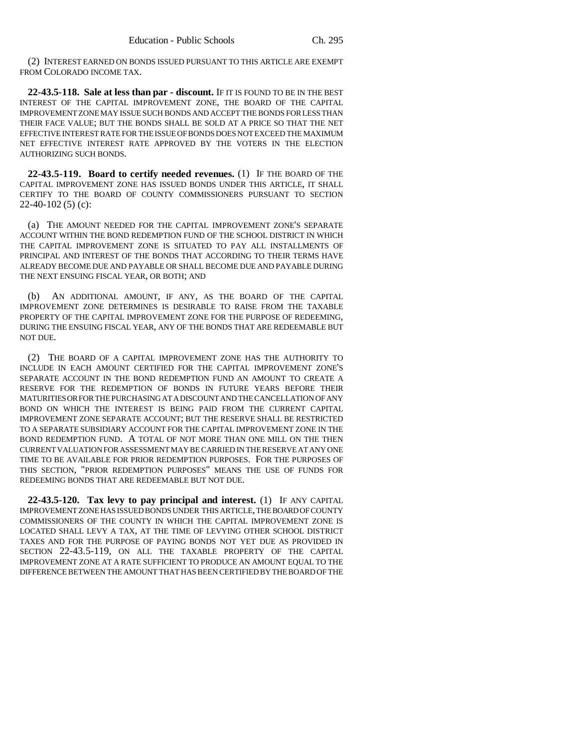(2) INTEREST EARNED ON BONDS ISSUED PURSUANT TO THIS ARTICLE ARE EXEMPT FROM COLORADO INCOME TAX.

**22-43.5-118. Sale at less than par - discount.** IF IT IS FOUND TO BE IN THE BEST INTEREST OF THE CAPITAL IMPROVEMENT ZONE, THE BOARD OF THE CAPITAL IMPROVEMENT ZONE MAY ISSUE SUCH BONDS AND ACCEPT THE BONDS FOR LESS THAN THEIR FACE VALUE; BUT THE BONDS SHALL BE SOLD AT A PRICE SO THAT THE NET EFFECTIVE INTEREST RATE FOR THE ISSUE OF BONDS DOES NOT EXCEED THE MAXIMUM NET EFFECTIVE INTEREST RATE APPROVED BY THE VOTERS IN THE ELECTION AUTHORIZING SUCH BONDS.

**22-43.5-119. Board to certify needed revenues.** (1) IF THE BOARD OF THE CAPITAL IMPROVEMENT ZONE HAS ISSUED BONDS UNDER THIS ARTICLE, IT SHALL CERTIFY TO THE BOARD OF COUNTY COMMISSIONERS PURSUANT TO SECTION  $22-40-102(5)$  (c):

(a) THE AMOUNT NEEDED FOR THE CAPITAL IMPROVEMENT ZONE'S SEPARATE ACCOUNT WITHIN THE BOND REDEMPTION FUND OF THE SCHOOL DISTRICT IN WHICH THE CAPITAL IMPROVEMENT ZONE IS SITUATED TO PAY ALL INSTALLMENTS OF PRINCIPAL AND INTEREST OF THE BONDS THAT ACCORDING TO THEIR TERMS HAVE ALREADY BECOME DUE AND PAYABLE OR SHALL BECOME DUE AND PAYABLE DURING THE NEXT ENSUING FISCAL YEAR, OR BOTH; AND

AN ADDITIONAL AMOUNT, IF ANY, AS THE BOARD OF THE CAPITAL IMPROVEMENT ZONE DETERMINES IS DESIRABLE TO RAISE FROM THE TAXABLE PROPERTY OF THE CAPITAL IMPROVEMENT ZONE FOR THE PURPOSE OF REDEEMING, DURING THE ENSUING FISCAL YEAR, ANY OF THE BONDS THAT ARE REDEEMABLE BUT NOT DUE.

(2) THE BOARD OF A CAPITAL IMPROVEMENT ZONE HAS THE AUTHORITY TO INCLUDE IN EACH AMOUNT CERTIFIED FOR THE CAPITAL IMPROVEMENT ZONE'S SEPARATE ACCOUNT IN THE BOND REDEMPTION FUND AN AMOUNT TO CREATE A RESERVE FOR THE REDEMPTION OF BONDS IN FUTURE YEARS BEFORE THEIR MATURITIES OR FOR THE PURCHASING AT A DISCOUNT AND THE CANCELLATION OF ANY BOND ON WHICH THE INTEREST IS BEING PAID FROM THE CURRENT CAPITAL IMPROVEMENT ZONE SEPARATE ACCOUNT; BUT THE RESERVE SHALL BE RESTRICTED TO A SEPARATE SUBSIDIARY ACCOUNT FOR THE CAPITAL IMPROVEMENT ZONE IN THE BOND REDEMPTION FUND. A TOTAL OF NOT MORE THAN ONE MILL ON THE THEN CURRENT VALUATION FOR ASSESSMENT MAY BE CARRIED IN THE RESERVE AT ANY ONE TIME TO BE AVAILABLE FOR PRIOR REDEMPTION PURPOSES. FOR THE PURPOSES OF THIS SECTION, "PRIOR REDEMPTION PURPOSES" MEANS THE USE OF FUNDS FOR REDEEMING BONDS THAT ARE REDEEMABLE BUT NOT DUE.

**22-43.5-120. Tax levy to pay principal and interest.** (1) IF ANY CAPITAL IMPROVEMENT ZONE HAS ISSUED BONDS UNDER THIS ARTICLE, THE BOARD OF COUNTY COMMISSIONERS OF THE COUNTY IN WHICH THE CAPITAL IMPROVEMENT ZONE IS LOCATED SHALL LEVY A TAX, AT THE TIME OF LEVYING OTHER SCHOOL DISTRICT TAXES AND FOR THE PURPOSE OF PAYING BONDS NOT YET DUE AS PROVIDED IN SECTION 22-43.5-119, ON ALL THE TAXABLE PROPERTY OF THE CAPITAL IMPROVEMENT ZONE AT A RATE SUFFICIENT TO PRODUCE AN AMOUNT EQUAL TO THE DIFFERENCE BETWEEN THE AMOUNT THAT HAS BEEN CERTIFIED BY THE BOARD OF THE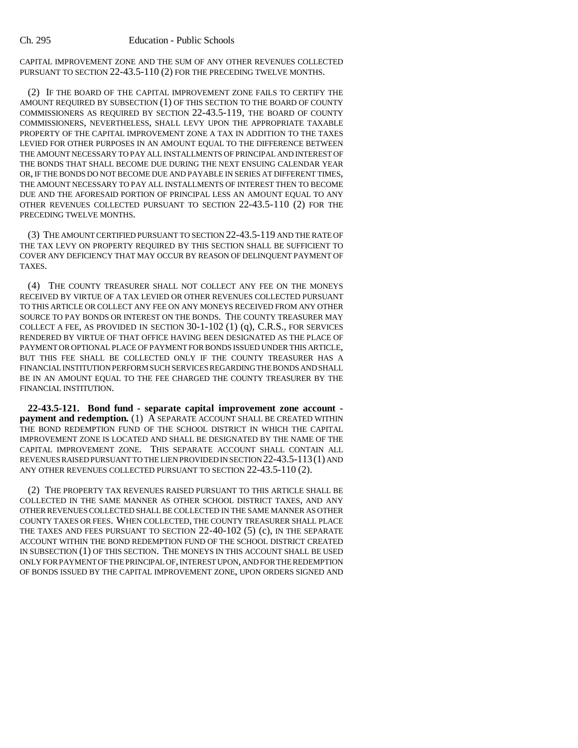CAPITAL IMPROVEMENT ZONE AND THE SUM OF ANY OTHER REVENUES COLLECTED PURSUANT TO SECTION 22-43.5-110 (2) FOR THE PRECEDING TWELVE MONTHS.

(2) IF THE BOARD OF THE CAPITAL IMPROVEMENT ZONE FAILS TO CERTIFY THE AMOUNT REQUIRED BY SUBSECTION (1) OF THIS SECTION TO THE BOARD OF COUNTY COMMISSIONERS AS REQUIRED BY SECTION 22-43.5-119, THE BOARD OF COUNTY COMMISSIONERS, NEVERTHELESS, SHALL LEVY UPON THE APPROPRIATE TAXABLE PROPERTY OF THE CAPITAL IMPROVEMENT ZONE A TAX IN ADDITION TO THE TAXES LEVIED FOR OTHER PURPOSES IN AN AMOUNT EQUAL TO THE DIFFERENCE BETWEEN THE AMOUNT NECESSARY TO PAY ALL INSTALLMENTS OF PRINCIPAL AND INTEREST OF THE BONDS THAT SHALL BECOME DUE DURING THE NEXT ENSUING CALENDAR YEAR OR, IF THE BONDS DO NOT BECOME DUE AND PAYABLE IN SERIES AT DIFFERENT TIMES, THE AMOUNT NECESSARY TO PAY ALL INSTALLMENTS OF INTEREST THEN TO BECOME DUE AND THE AFORESAID PORTION OF PRINCIPAL LESS AN AMOUNT EQUAL TO ANY OTHER REVENUES COLLECTED PURSUANT TO SECTION 22-43.5-110 (2) FOR THE PRECEDING TWELVE MONTHS.

(3) THE AMOUNT CERTIFIED PURSUANT TO SECTION 22-43.5-119 AND THE RATE OF THE TAX LEVY ON PROPERTY REQUIRED BY THIS SECTION SHALL BE SUFFICIENT TO COVER ANY DEFICIENCY THAT MAY OCCUR BY REASON OF DELINQUENT PAYMENT OF TAXES.

(4) THE COUNTY TREASURER SHALL NOT COLLECT ANY FEE ON THE MONEYS RECEIVED BY VIRTUE OF A TAX LEVIED OR OTHER REVENUES COLLECTED PURSUANT TO THIS ARTICLE OR COLLECT ANY FEE ON ANY MONEYS RECEIVED FROM ANY OTHER SOURCE TO PAY BONDS OR INTEREST ON THE BONDS. THE COUNTY TREASURER MAY COLLECT A FEE, AS PROVIDED IN SECTION 30-1-102 (1) (q), C.R.S., FOR SERVICES RENDERED BY VIRTUE OF THAT OFFICE HAVING BEEN DESIGNATED AS THE PLACE OF PAYMENT OR OPTIONAL PLACE OF PAYMENT FOR BONDS ISSUED UNDER THIS ARTICLE, BUT THIS FEE SHALL BE COLLECTED ONLY IF THE COUNTY TREASURER HAS A FINANCIAL INSTITUTION PERFORM SUCH SERVICES REGARDING THE BONDS AND SHALL BE IN AN AMOUNT EQUAL TO THE FEE CHARGED THE COUNTY TREASURER BY THE FINANCIAL INSTITUTION.

**22-43.5-121. Bond fund - separate capital improvement zone account payment and redemption.** (1) A SEPARATE ACCOUNT SHALL BE CREATED WITHIN THE BOND REDEMPTION FUND OF THE SCHOOL DISTRICT IN WHICH THE CAPITAL IMPROVEMENT ZONE IS LOCATED AND SHALL BE DESIGNATED BY THE NAME OF THE CAPITAL IMPROVEMENT ZONE. THIS SEPARATE ACCOUNT SHALL CONTAIN ALL REVENUES RAISED PURSUANT TO THE LIEN PROVIDED IN SECTION 22-43.5-113(1) AND ANY OTHER REVENUES COLLECTED PURSUANT TO SECTION 22-43.5-110 (2).

(2) THE PROPERTY TAX REVENUES RAISED PURSUANT TO THIS ARTICLE SHALL BE COLLECTED IN THE SAME MANNER AS OTHER SCHOOL DISTRICT TAXES, AND ANY OTHER REVENUES COLLECTED SHALL BE COLLECTED IN THE SAME MANNER AS OTHER COUNTY TAXES OR FEES. WHEN COLLECTED, THE COUNTY TREASURER SHALL PLACE THE TAXES AND FEES PURSUANT TO SECTION 22-40-102 (5) (c), IN THE SEPARATE ACCOUNT WITHIN THE BOND REDEMPTION FUND OF THE SCHOOL DISTRICT CREATED IN SUBSECTION (1) OF THIS SECTION. THE MONEYS IN THIS ACCOUNT SHALL BE USED ONLY FOR PAYMENT OF THE PRINCIPAL OF, INTEREST UPON, AND FOR THE REDEMPTION OF BONDS ISSUED BY THE CAPITAL IMPROVEMENT ZONE, UPON ORDERS SIGNED AND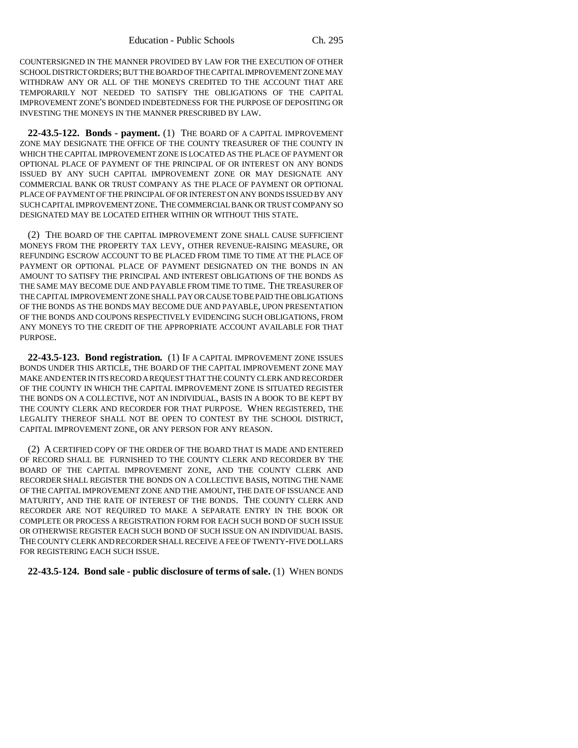COUNTERSIGNED IN THE MANNER PROVIDED BY LAW FOR THE EXECUTION OF OTHER SCHOOL DISTRICT ORDERS; BUT THE BOARD OF THE CAPITAL IMPROVEMENT ZONE MAY WITHDRAW ANY OR ALL OF THE MONEYS CREDITED TO THE ACCOUNT THAT ARE TEMPORARILY NOT NEEDED TO SATISFY THE OBLIGATIONS OF THE CAPITAL IMPROVEMENT ZONE'S BONDED INDEBTEDNESS FOR THE PURPOSE OF DEPOSITING OR INVESTING THE MONEYS IN THE MANNER PRESCRIBED BY LAW.

**22-43.5-122. Bonds - payment.** (1) THE BOARD OF A CAPITAL IMPROVEMENT ZONE MAY DESIGNATE THE OFFICE OF THE COUNTY TREASURER OF THE COUNTY IN WHICH THE CAPITAL IMPROVEMENT ZONE IS LOCATED AS THE PLACE OF PAYMENT OR OPTIONAL PLACE OF PAYMENT OF THE PRINCIPAL OF OR INTEREST ON ANY BONDS ISSUED BY ANY SUCH CAPITAL IMPROVEMENT ZONE OR MAY DESIGNATE ANY COMMERCIAL BANK OR TRUST COMPANY AS THE PLACE OF PAYMENT OR OPTIONAL PLACE OF PAYMENT OF THE PRINCIPAL OF OR INTEREST ON ANY BONDS ISSUED BY ANY SUCH CAPITAL IMPROVEMENT ZONE. THE COMMERCIAL BANK OR TRUST COMPANY SO DESIGNATED MAY BE LOCATED EITHER WITHIN OR WITHOUT THIS STATE.

(2) THE BOARD OF THE CAPITAL IMPROVEMENT ZONE SHALL CAUSE SUFFICIENT MONEYS FROM THE PROPERTY TAX LEVY, OTHER REVENUE-RAISING MEASURE, OR REFUNDING ESCROW ACCOUNT TO BE PLACED FROM TIME TO TIME AT THE PLACE OF PAYMENT OR OPTIONAL PLACE OF PAYMENT DESIGNATED ON THE BONDS IN AN AMOUNT TO SATISFY THE PRINCIPAL AND INTEREST OBLIGATIONS OF THE BONDS AS THE SAME MAY BECOME DUE AND PAYABLE FROM TIME TO TIME. THE TREASURER OF THE CAPITAL IMPROVEMENT ZONE SHALL PAY OR CAUSE TO BE PAID THE OBLIGATIONS OF THE BONDS AS THE BONDS MAY BECOME DUE AND PAYABLE, UPON PRESENTATION OF THE BONDS AND COUPONS RESPECTIVELY EVIDENCING SUCH OBLIGATIONS, FROM ANY MONEYS TO THE CREDIT OF THE APPROPRIATE ACCOUNT AVAILABLE FOR THAT PURPOSE.

**22-43.5-123. Bond registration.** (1) IF A CAPITAL IMPROVEMENT ZONE ISSUES BONDS UNDER THIS ARTICLE, THE BOARD OF THE CAPITAL IMPROVEMENT ZONE MAY MAKE AND ENTER IN ITS RECORD A REQUEST THAT THE COUNTY CLERK AND RECORDER OF THE COUNTY IN WHICH THE CAPITAL IMPROVEMENT ZONE IS SITUATED REGISTER THE BONDS ON A COLLECTIVE, NOT AN INDIVIDUAL, BASIS IN A BOOK TO BE KEPT BY THE COUNTY CLERK AND RECORDER FOR THAT PURPOSE. WHEN REGISTERED, THE LEGALITY THEREOF SHALL NOT BE OPEN TO CONTEST BY THE SCHOOL DISTRICT, CAPITAL IMPROVEMENT ZONE, OR ANY PERSON FOR ANY REASON.

(2) A CERTIFIED COPY OF THE ORDER OF THE BOARD THAT IS MADE AND ENTERED OF RECORD SHALL BE FURNISHED TO THE COUNTY CLERK AND RECORDER BY THE BOARD OF THE CAPITAL IMPROVEMENT ZONE, AND THE COUNTY CLERK AND RECORDER SHALL REGISTER THE BONDS ON A COLLECTIVE BASIS, NOTING THE NAME OF THE CAPITAL IMPROVEMENT ZONE AND THE AMOUNT, THE DATE OF ISSUANCE AND MATURITY, AND THE RATE OF INTEREST OF THE BONDS. THE COUNTY CLERK AND RECORDER ARE NOT REQUIRED TO MAKE A SEPARATE ENTRY IN THE BOOK OR COMPLETE OR PROCESS A REGISTRATION FORM FOR EACH SUCH BOND OF SUCH ISSUE OR OTHERWISE REGISTER EACH SUCH BOND OF SUCH ISSUE ON AN INDIVIDUAL BASIS. THE COUNTY CLERK AND RECORDER SHALL RECEIVE A FEE OF TWENTY-FIVE DOLLARS FOR REGISTERING EACH SUCH ISSUE.

### **22-43.5-124. Bond sale - public disclosure of terms of sale.** (1) WHEN BONDS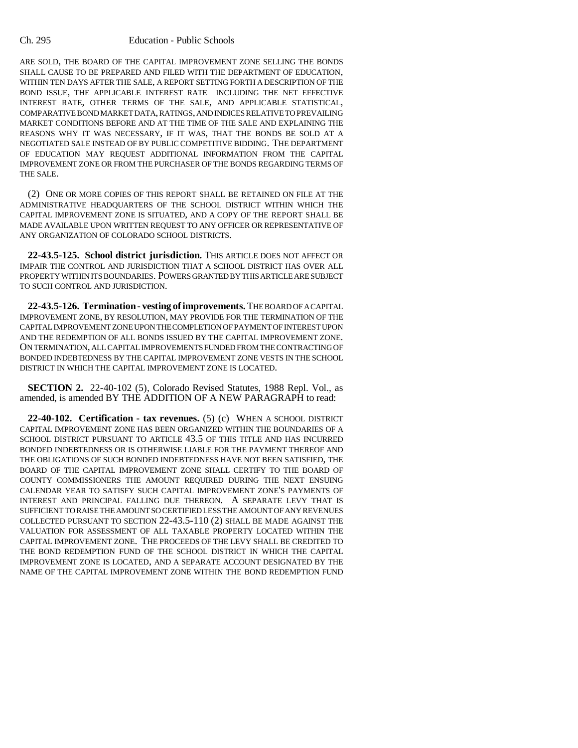#### Ch. 295 Education - Public Schools

ARE SOLD, THE BOARD OF THE CAPITAL IMPROVEMENT ZONE SELLING THE BONDS SHALL CAUSE TO BE PREPARED AND FILED WITH THE DEPARTMENT OF EDUCATION, WITHIN TEN DAYS AFTER THE SALE, A REPORT SETTING FORTH A DESCRIPTION OF THE BOND ISSUE, THE APPLICABLE INTEREST RATE INCLUDING THE NET EFFECTIVE INTEREST RATE, OTHER TERMS OF THE SALE, AND APPLICABLE STATISTICAL, COMPARATIVE BOND MARKET DATA, RATINGS, AND INDICES RELATIVE TO PREVAILING MARKET CONDITIONS BEFORE AND AT THE TIME OF THE SALE AND EXPLAINING THE REASONS WHY IT WAS NECESSARY, IF IT WAS, THAT THE BONDS BE SOLD AT A NEGOTIATED SALE INSTEAD OF BY PUBLIC COMPETITIVE BIDDING. THE DEPARTMENT OF EDUCATION MAY REQUEST ADDITIONAL INFORMATION FROM THE CAPITAL IMPROVEMENT ZONE OR FROM THE PURCHASER OF THE BONDS REGARDING TERMS OF THE SALE.

(2) ONE OR MORE COPIES OF THIS REPORT SHALL BE RETAINED ON FILE AT THE ADMINISTRATIVE HEADQUARTERS OF THE SCHOOL DISTRICT WITHIN WHICH THE CAPITAL IMPROVEMENT ZONE IS SITUATED, AND A COPY OF THE REPORT SHALL BE MADE AVAILABLE UPON WRITTEN REQUEST TO ANY OFFICER OR REPRESENTATIVE OF ANY ORGANIZATION OF COLORADO SCHOOL DISTRICTS.

**22-43.5-125. School district jurisdiction.** THIS ARTICLE DOES NOT AFFECT OR IMPAIR THE CONTROL AND JURISDICTION THAT A SCHOOL DISTRICT HAS OVER ALL PROPERTY WITHIN ITS BOUNDARIES. POWERS GRANTED BY THIS ARTICLE ARE SUBJECT TO SUCH CONTROL AND JURISDICTION.

**22-43.5-126. Termination - vesting of improvements.** THE BOARD OF A CAPITAL IMPROVEMENT ZONE, BY RESOLUTION, MAY PROVIDE FOR THE TERMINATION OF THE CAPITAL IMPROVEMENT ZONE UPON THE COMPLETION OF PAYMENT OF INTEREST UPON AND THE REDEMPTION OF ALL BONDS ISSUED BY THE CAPITAL IMPROVEMENT ZONE. ON TERMINATION, ALL CAPITAL IMPROVEMENTS FUNDED FROM THE CONTRACTING OF BONDED INDEBTEDNESS BY THE CAPITAL IMPROVEMENT ZONE VESTS IN THE SCHOOL DISTRICT IN WHICH THE CAPITAL IMPROVEMENT ZONE IS LOCATED.

**SECTION 2.** 22-40-102 (5), Colorado Revised Statutes, 1988 Repl. Vol., as amended, is amended BY THE ADDITION OF A NEW PARAGRAPH to read:

**22-40-102. Certification - tax revenues.** (5) (c) WHEN A SCHOOL DISTRICT CAPITAL IMPROVEMENT ZONE HAS BEEN ORGANIZED WITHIN THE BOUNDARIES OF A SCHOOL DISTRICT PURSUANT TO ARTICLE 43.5 OF THIS TITLE AND HAS INCURRED BONDED INDEBTEDNESS OR IS OTHERWISE LIABLE FOR THE PAYMENT THEREOF AND THE OBLIGATIONS OF SUCH BONDED INDEBTEDNESS HAVE NOT BEEN SATISFIED, THE BOARD OF THE CAPITAL IMPROVEMENT ZONE SHALL CERTIFY TO THE BOARD OF COUNTY COMMISSIONERS THE AMOUNT REQUIRED DURING THE NEXT ENSUING CALENDAR YEAR TO SATISFY SUCH CAPITAL IMPROVEMENT ZONE'S PAYMENTS OF INTEREST AND PRINCIPAL FALLING DUE THEREON. A SEPARATE LEVY THAT IS SUFFICIENT TO RAISE THE AMOUNT SO CERTIFIED LESS THE AMOUNT OF ANY REVENUES COLLECTED PURSUANT TO SECTION 22-43.5-110 (2) SHALL BE MADE AGAINST THE VALUATION FOR ASSESSMENT OF ALL TAXABLE PROPERTY LOCATED WITHIN THE CAPITAL IMPROVEMENT ZONE. THE PROCEEDS OF THE LEVY SHALL BE CREDITED TO THE BOND REDEMPTION FUND OF THE SCHOOL DISTRICT IN WHICH THE CAPITAL IMPROVEMENT ZONE IS LOCATED, AND A SEPARATE ACCOUNT DESIGNATED BY THE NAME OF THE CAPITAL IMPROVEMENT ZONE WITHIN THE BOND REDEMPTION FUND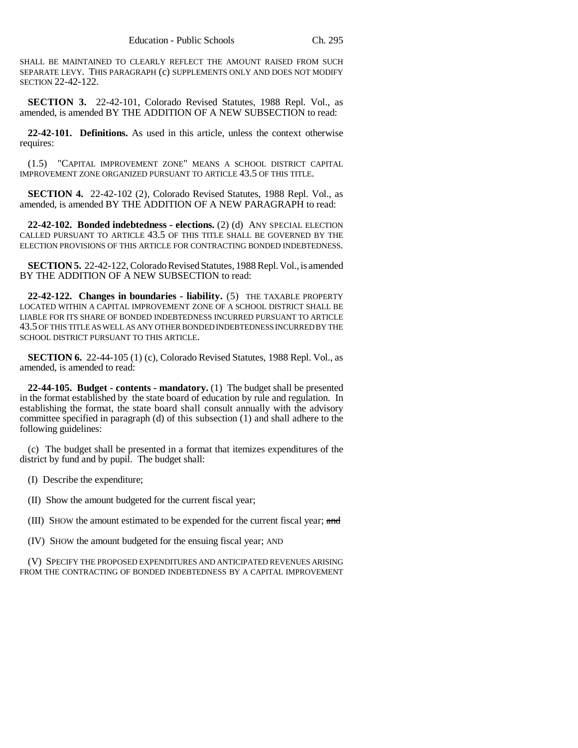SHALL BE MAINTAINED TO CLEARLY REFLECT THE AMOUNT RAISED FROM SUCH SEPARATE LEVY. THIS PARAGRAPH (c) SUPPLEMENTS ONLY AND DOES NOT MODIFY SECTION 22-42-122.

**SECTION 3.** 22-42-101, Colorado Revised Statutes, 1988 Repl. Vol., as amended, is amended BY THE ADDITION OF A NEW SUBSECTION to read:

**22-42-101. Definitions.** As used in this article, unless the context otherwise requires:

(1.5) "CAPITAL IMPROVEMENT ZONE" MEANS A SCHOOL DISTRICT CAPITAL IMPROVEMENT ZONE ORGANIZED PURSUANT TO ARTICLE 43.5 OF THIS TITLE.

**SECTION 4.** 22-42-102 (2), Colorado Revised Statutes, 1988 Repl. Vol., as amended, is amended BY THE ADDITION OF A NEW PARAGRAPH to read:

**22-42-102. Bonded indebtedness - elections.** (2) (d) ANY SPECIAL ELECTION CALLED PURSUANT TO ARTICLE 43.5 OF THIS TITLE SHALL BE GOVERNED BY THE ELECTION PROVISIONS OF THIS ARTICLE FOR CONTRACTING BONDED INDEBTEDNESS.

**SECTION 5.** 22-42-122, Colorado Revised Statutes, 1988 Repl. Vol., is amended BY THE ADDITION OF A NEW SUBSECTION to read:

**22-42-122. Changes in boundaries - liability.** (5) THE TAXABLE PROPERTY LOCATED WITHIN A CAPITAL IMPROVEMENT ZONE OF A SCHOOL DISTRICT SHALL BE LIABLE FOR ITS SHARE OF BONDED INDEBTEDNESS INCURRED PURSUANT TO ARTICLE 43.5 OF THIS TITLE AS WELL AS ANY OTHER BONDED INDEBTEDNESS INCURRED BY THE SCHOOL DISTRICT PURSUANT TO THIS ARTICLE.

**SECTION 6.** 22-44-105 (1) (c), Colorado Revised Statutes, 1988 Repl. Vol., as amended, is amended to read:

**22-44-105. Budget - contents - mandatory.** (1) The budget shall be presented in the format established by the state board of education by rule and regulation. In establishing the format, the state board shall consult annually with the advisory committee specified in paragraph (d) of this subsection (1) and shall adhere to the following guidelines:

(c) The budget shall be presented in a format that itemizes expenditures of the district by fund and by pupil. The budget shall:

(I) Describe the expenditure;

(II) Show the amount budgeted for the current fiscal year;

(III) SHOW the amount estimated to be expended for the current fiscal year; and

(IV) SHOW the amount budgeted for the ensuing fiscal year; AND

(V) SPECIFY THE PROPOSED EXPENDITURES AND ANTICIPATED REVENUES ARISING FROM THE CONTRACTING OF BONDED INDEBTEDNESS BY A CAPITAL IMPROVEMENT